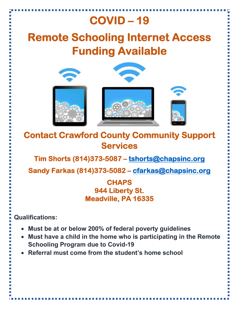## **COVID – 19**

## **Remote Schooling Internet Access Funding Available**



**Contact Crawford County Community Support Services** 

**Tim Shorts (814)373-5087 – tshorts@chapsinc.org** 

**Sandy Farkas (814)373-5082 – cfarkas@chapsinc.org** 

## **CHAPS 944 Liberty St. Meadville, PA 16335**

**Qualifications:** 

- **Must be at or below 200% of federal poverty guidelines**
- **Must have a child in the home who is participating in the Remote Schooling Program due to Covid-19**
- **Referral must come from the student's home school**